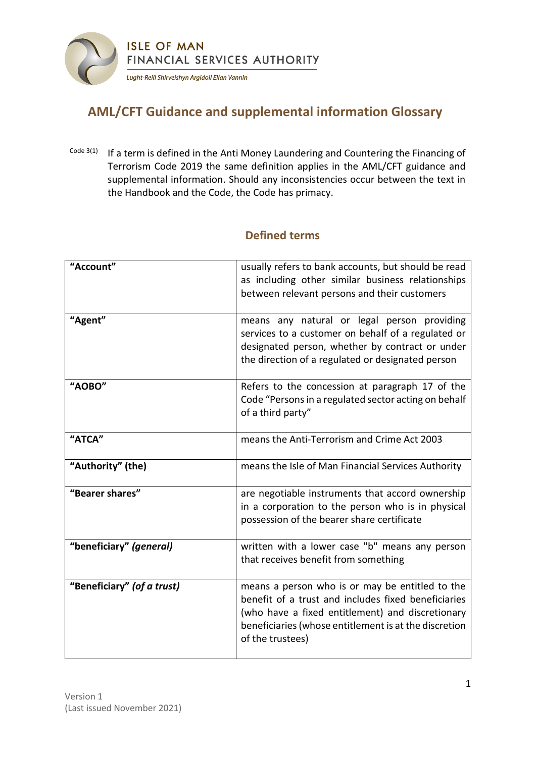

## **AML/CFT Guidance and supplemental information Glossary**

Code 3(1) If a term is defined in the Anti Money Laundering and Countering the Financing of Terrorism Code 2019 the same definition applies in the AML/CFT guidance and supplemental information. Should any inconsistencies occur between the text in the Handbook and the Code, the Code has primacy.

## **Defined terms**

| "Account"                  | usually refers to bank accounts, but should be read<br>as including other similar business relationships<br>between relevant persons and their customers                                                                                |
|----------------------------|-----------------------------------------------------------------------------------------------------------------------------------------------------------------------------------------------------------------------------------------|
| "Agent"                    | means any natural or legal person providing<br>services to a customer on behalf of a regulated or<br>designated person, whether by contract or under<br>the direction of a regulated or designated person                               |
| "AOBO"                     | Refers to the concession at paragraph 17 of the<br>Code "Persons in a regulated sector acting on behalf<br>of a third party"                                                                                                            |
| "ATCA"                     | means the Anti-Terrorism and Crime Act 2003                                                                                                                                                                                             |
| "Authority" (the)          | means the Isle of Man Financial Services Authority                                                                                                                                                                                      |
| "Bearer shares"            | are negotiable instruments that accord ownership<br>in a corporation to the person who is in physical<br>possession of the bearer share certificate                                                                                     |
| "beneficiary" (general)    | written with a lower case "b" means any person<br>that receives benefit from something                                                                                                                                                  |
| "Beneficiary" (of a trust) | means a person who is or may be entitled to the<br>benefit of a trust and includes fixed beneficiaries<br>(who have a fixed entitlement) and discretionary<br>beneficiaries (whose entitlement is at the discretion<br>of the trustees) |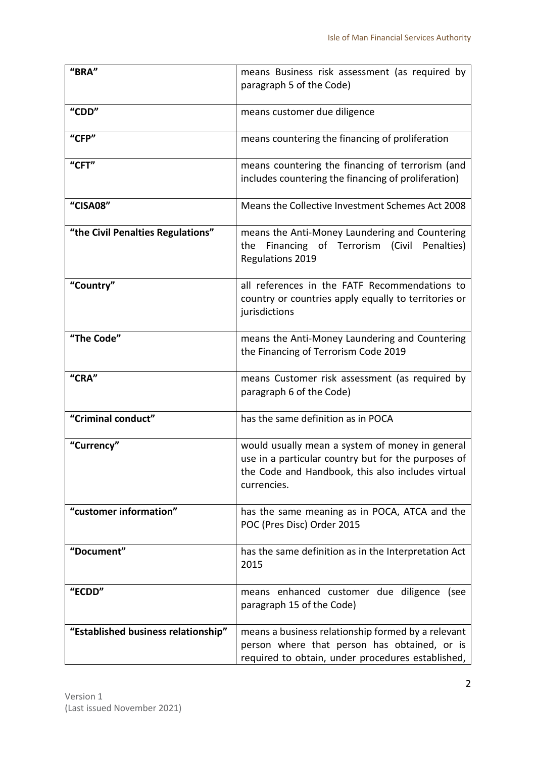| "BRA"                               | means Business risk assessment (as required by<br>paragraph 5 of the Code)                                                                                                 |
|-------------------------------------|----------------------------------------------------------------------------------------------------------------------------------------------------------------------------|
| "CDD"                               | means customer due diligence                                                                                                                                               |
| "CFP"                               | means countering the financing of proliferation                                                                                                                            |
| "CFT"                               | means countering the financing of terrorism (and<br>includes countering the financing of proliferation)                                                                    |
| "CISA08"                            | Means the Collective Investment Schemes Act 2008                                                                                                                           |
| "the Civil Penalties Regulations"   | means the Anti-Money Laundering and Countering<br>the Financing of Terrorism (Civil Penalties)<br><b>Regulations 2019</b>                                                  |
| "Country"                           | all references in the FATF Recommendations to<br>country or countries apply equally to territories or<br>jurisdictions                                                     |
| "The Code"                          | means the Anti-Money Laundering and Countering<br>the Financing of Terrorism Code 2019                                                                                     |
| "CRA"                               | means Customer risk assessment (as required by<br>paragraph 6 of the Code)                                                                                                 |
| "Criminal conduct"                  | has the same definition as in POCA                                                                                                                                         |
| "Currency"                          | would usually mean a system of money in general<br>use in a particular country but for the purposes of<br>the Code and Handbook, this also includes virtual<br>currencies. |
| "customer information"              | has the same meaning as in POCA, ATCA and the<br>POC (Pres Disc) Order 2015                                                                                                |
| "Document"                          | has the same definition as in the Interpretation Act<br>2015                                                                                                               |
| "ECDD"                              | means enhanced customer due diligence (see<br>paragraph 15 of the Code)                                                                                                    |
| "Established business relationship" | means a business relationship formed by a relevant<br>person where that person has obtained, or is<br>required to obtain, under procedures established,                    |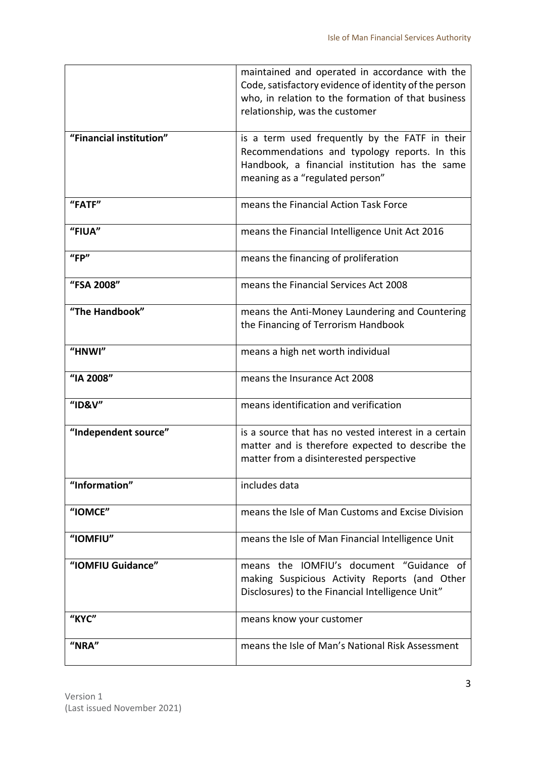|                         | maintained and operated in accordance with the<br>Code, satisfactory evidence of identity of the person<br>who, in relation to the formation of that business<br>relationship, was the customer |
|-------------------------|-------------------------------------------------------------------------------------------------------------------------------------------------------------------------------------------------|
| "Financial institution" | is a term used frequently by the FATF in their<br>Recommendations and typology reports. In this<br>Handbook, a financial institution has the same<br>meaning as a "regulated person"            |
| "FATF"                  | means the Financial Action Task Force                                                                                                                                                           |
| "FIUA"                  | means the Financial Intelligence Unit Act 2016                                                                                                                                                  |
| "FP"                    | means the financing of proliferation                                                                                                                                                            |
| "FSA 2008"              | means the Financial Services Act 2008                                                                                                                                                           |
| "The Handbook"          | means the Anti-Money Laundering and Countering<br>the Financing of Terrorism Handbook                                                                                                           |
| "HNWI"                  | means a high net worth individual                                                                                                                                                               |
| "IA 2008"               | means the Insurance Act 2008                                                                                                                                                                    |
| "ID&V"                  | means identification and verification                                                                                                                                                           |
| "Independent source"    | is a source that has no vested interest in a certain<br>matter and is therefore expected to describe the<br>matter from a disinterested perspective                                             |
| "Information"           | includes data                                                                                                                                                                                   |
| "IOMCE"                 | means the Isle of Man Customs and Excise Division                                                                                                                                               |
| "IOMFIU"                | means the Isle of Man Financial Intelligence Unit                                                                                                                                               |
| "IOMFIU Guidance"       | means the IOMFIU's document "Guidance of<br>making Suspicious Activity Reports (and Other<br>Disclosures) to the Financial Intelligence Unit"                                                   |
| "KYC"                   | means know your customer                                                                                                                                                                        |
| "NRA"                   | means the Isle of Man's National Risk Assessment                                                                                                                                                |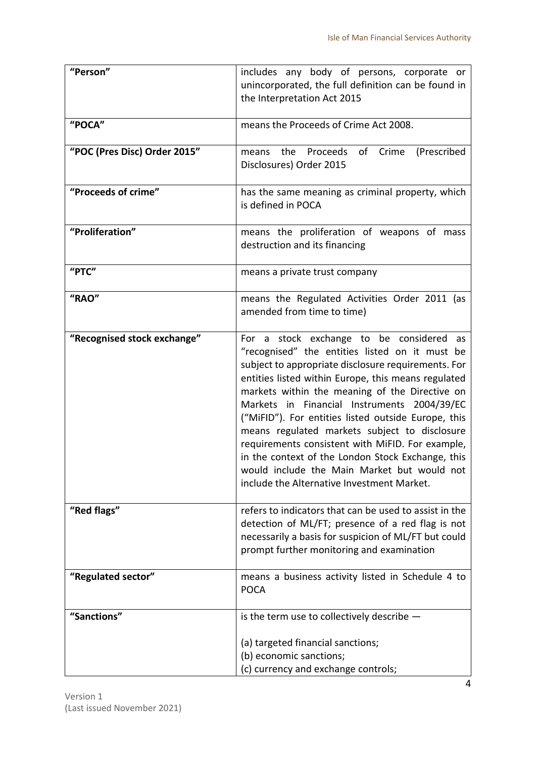| "Person"                     | includes any body of persons, corporate or<br>unincorporated, the full definition can be found in<br>the Interpretation Act 2015                                                                                                                                                                                                                                                                                                                                                                                                                                                                                        |
|------------------------------|-------------------------------------------------------------------------------------------------------------------------------------------------------------------------------------------------------------------------------------------------------------------------------------------------------------------------------------------------------------------------------------------------------------------------------------------------------------------------------------------------------------------------------------------------------------------------------------------------------------------------|
| "POCA"                       | means the Proceeds of Crime Act 2008.                                                                                                                                                                                                                                                                                                                                                                                                                                                                                                                                                                                   |
| "POC (Pres Disc) Order 2015" | (Prescribed<br>Proceeds of Crime<br>the<br>means<br>Disclosures) Order 2015                                                                                                                                                                                                                                                                                                                                                                                                                                                                                                                                             |
| "Proceeds of crime"          | has the same meaning as criminal property, which<br>is defined in POCA                                                                                                                                                                                                                                                                                                                                                                                                                                                                                                                                                  |
| "Proliferation"              | means the proliferation of weapons of mass<br>destruction and its financing                                                                                                                                                                                                                                                                                                                                                                                                                                                                                                                                             |
| "PTC"                        | means a private trust company                                                                                                                                                                                                                                                                                                                                                                                                                                                                                                                                                                                           |
| "RAO"                        | means the Regulated Activities Order 2011 (as<br>amended from time to time)                                                                                                                                                                                                                                                                                                                                                                                                                                                                                                                                             |
| "Recognised stock exchange"  | For a stock exchange to be considered as<br>"recognised" the entities listed on it must be<br>subject to appropriate disclosure requirements. For<br>entities listed within Europe, this means regulated<br>markets within the meaning of the Directive on<br>Markets in Financial Instruments 2004/39/EC<br>("MiFID"). For entities listed outside Europe, this<br>means regulated markets subject to disclosure<br>requirements consistent with MiFID. For example,<br>in the context of the London Stock Exchange, this<br>would include the Main Market but would not<br>include the Alternative Investment Market. |
| "Red flags"                  | refers to indicators that can be used to assist in the<br>detection of ML/FT; presence of a red flag is not<br>necessarily a basis for suspicion of ML/FT but could<br>prompt further monitoring and examination                                                                                                                                                                                                                                                                                                                                                                                                        |
| "Regulated sector"           | means a business activity listed in Schedule 4 to<br><b>POCA</b>                                                                                                                                                                                                                                                                                                                                                                                                                                                                                                                                                        |
| "Sanctions"                  | is the term use to collectively describe $-$                                                                                                                                                                                                                                                                                                                                                                                                                                                                                                                                                                            |
|                              | (a) targeted financial sanctions;<br>(b) economic sanctions;                                                                                                                                                                                                                                                                                                                                                                                                                                                                                                                                                            |
|                              | (c) currency and exchange controls;                                                                                                                                                                                                                                                                                                                                                                                                                                                                                                                                                                                     |